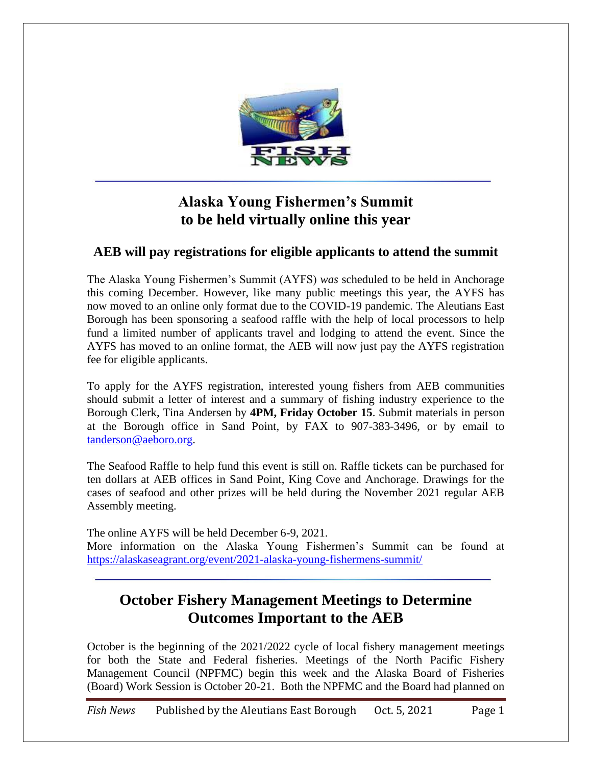

## **Alaska Young Fishermen's Summit to be held virtually online this year**

## **AEB will pay registrations for eligible applicants to attend the summit**

The Alaska Young Fishermen's Summit (AYFS) *was* scheduled to be held in Anchorage this coming December. However, like many public meetings this year, the AYFS has now moved to an online only format due to the COVID-19 pandemic. The Aleutians East Borough has been sponsoring a seafood raffle with the help of local processors to help fund a limited number of applicants travel and lodging to attend the event. Since the AYFS has moved to an online format, the AEB will now just pay the AYFS registration fee for eligible applicants.

To apply for the AYFS registration, interested young fishers from AEB communities should submit a letter of interest and a summary of fishing industry experience to the Borough Clerk, Tina Andersen by **4PM, Friday October 15**. Submit materials in person at the Borough office in Sand Point, by FAX to 907-383-3496, or by email to [tanderson@aeboro.org.](mailto:tanderson@aeboro.org)

The Seafood Raffle to help fund this event is still on. Raffle tickets can be purchased for ten dollars at AEB offices in Sand Point, King Cove and Anchorage. Drawings for the cases of seafood and other prizes will be held during the November 2021 regular AEB Assembly meeting.

The online AYFS will be held December 6-9, 2021. More information on the Alaska Young Fishermen's Summit can be found at [https://alaskaseagrant.org/event/2021-alaska-young-fishermens-summit/](file:///C:/Users/ltanis/AppData/Local/Microsoft/Windows/INetCache/Content.Outlook/X1YD3DEO/%20https:/alaskaseagrant.org/event/2021-alaska-young-fishermens-summit/%20%0d) 

## **October Fishery Management Meetings to Determine Outcomes Important to the AEB**

October is the beginning of the 2021/2022 cycle of local fishery management meetings for both the State and Federal fisheries. Meetings of the North Pacific Fishery Management Council (NPFMC) begin this week and the Alaska Board of Fisheries (Board) Work Session is October 20-21. Both the NPFMC and the Board had planned on